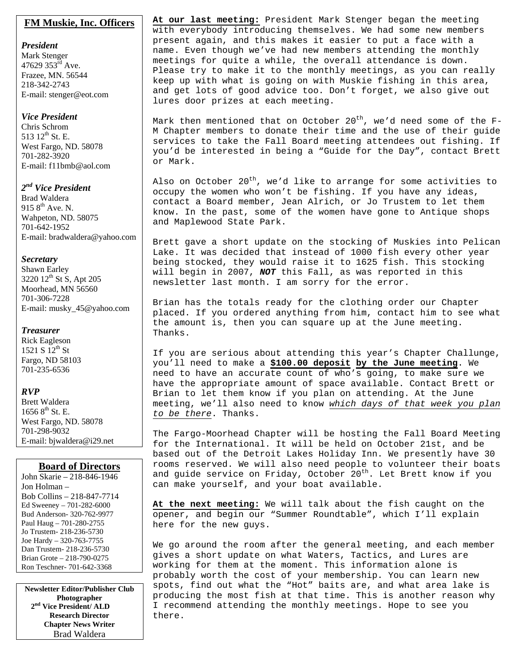### **FM Muskie, Inc. Officers**

*President*  Mark Stenger 47629  $353^{\text{rd}}$  Ave. Frazee, MN. 56544 218-342-2743 E-mail: stenger@eot.com

### *Vice President*

Chris Schrom 513 12<sup>th</sup> St. E. West Fargo, ND. 58078 701-282-3920 E-mail: f11bmb@aol.com

### *2nd Vice President*

Brad Waldera 915  $8^{th}$  Ave. N. Wahpeton, ND. 58075 701-642-1952 E-mail: bradwaldera@yahoo.com

### *Secretary*

Shawn Earley 3220 12<sup>th</sup> St S, Apt 205 Moorhead, MN 56560 701-306-7228 E-mail: musky\_45@yahoo.com

### *Treasurer*

Rick Eagleson 1521 S  $12^{th}$  St Fargo, ND 58103 701-235-6536

### *RVP*

Brett Waldera  $16568^{\text{th}}$  St. E. West Fargo, ND. 58078 701-298-9032 E-mail: bjwaldera@i29.net

### **Board of Directors**

John Skarie – 218-846-1946 Jon Holman – Bob Collins – 218-847-7714 Ed Sweeney – 701-282-6000 Bud Anderson- 320-762-9977 Paul Haug – 701-280-2755 Jo Trustem- 218-236-5730 Joe Hardy – 320-763-7755 Dan Trustem- 218-236-5730 Brian Grote – 218-790-0275 Ron Teschner- 701-642-3368

**Newsletter Editor/Publisher Club Photographer 2nd Vice President/ ALD Research Director Chapter News Writer** Brad Waldera

**At our last meeting:** President Mark Stenger began the meeting with everybody introducing themselves. We had some new members present again, and this makes it easier to put a face with a name. Even though we've had new members attending the monthly meetings for quite a while, the overall attendance is down. Please try to make it to the monthly meetings, as you can really keep up with what is going on with Muskie fishing in this area, and get lots of good advice too. Don't forget, we also give out lures door prizes at each meeting.

Mark then mentioned that on October  $20^{th}$ , we'd need some of the F-M Chapter members to donate their time and the use of their guide services to take the Fall Board meeting attendees out fishing. If you'd be interested in being a "Guide for the Day", contact Brett or Mark.

Also on October 20<sup>th</sup>, we'd like to arrange for some activities to occupy the women who won't be fishing. If you have any ideas, contact a Board member, Jean Alrich, or Jo Trustem to let them know. In the past, some of the women have gone to Antique shops and Maplewood State Park.

Brett gave a short update on the stocking of Muskies into Pelican Lake. It was decided that instead of 1000 fish every other year being stocked, they would raise it to 1625 fish. This stocking will begin in 2007, *NOT* this Fall, as was reported in this newsletter last month. I am sorry for the error.

Brian has the totals ready for the clothing order our Chapter placed. If you ordered anything from him, contact him to see what the amount is, then you can square up at the June meeting. Thanks.

If you are serious about attending this year's Chapter Challunge, you'll need to make a **\$100.00 deposit by the June meeting**. We need to have an accurate count of who's going, to make sure we have the appropriate amount of space available. Contact Brett or Brian to let them know if you plan on attending. At the June meeting, we'll also need to know *which days of that week you plan to be there*. Thanks.

The Fargo-Moorhead Chapter will be hosting the Fall Board Meeting for the International. It will be held on October 21st, and be based out of the Detroit Lakes Holiday Inn. We presently have 30 rooms reserved. We will also need people to volunteer their boats and guide service on Friday, October 20<sup>th</sup>. Let Brett know if you can make yourself, and your boat available.

**At the next meeting:** We will talk about the fish caught on the opener, and begin our "Summer Roundtable", which I'll explain here for the new guys.

We go around the room after the general meeting, and each member gives a short update on what Waters, Tactics, and Lures are working for them at the moment. This information alone is probably worth the cost of your membership. You can learn new spots, find out what the "Hot" baits are, and what area lake is producing the most fish at that time. This is another reason why I recommend attending the monthly meetings. Hope to see you there.